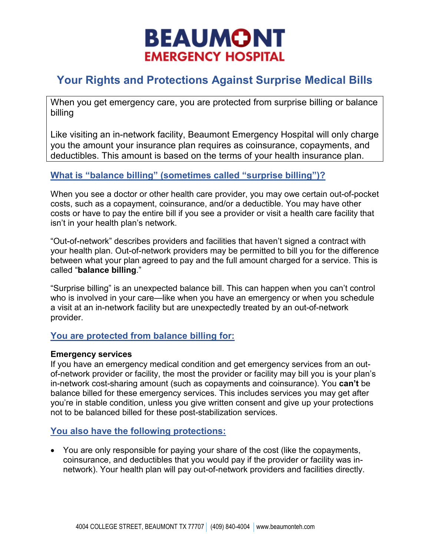# **BEAUMONT EMERGENCY HOSPITAL**

# **Your Rights and Protections Against Surprise Medical Bills**

When you get emergency care, you are protected from surprise billing or balance billing

Like visiting an in-network facility, Beaumont Emergency Hospital will only charge you the amount your insurance plan requires as coinsurance, copayments, and deductibles. This amount is based on the terms of your health insurance plan.

# **What is "balance billing" (sometimes called "surprise billing")?**

When you see a doctor or other health care provider, you may owe certain out-of-pocket costs, such as a copayment, coinsurance, and/or a deductible. You may have other costs or have to pay the entire bill if you see a provider or visit a health care facility that isn't in your health plan's network.

"Out-of-network" describes providers and facilities that haven't signed a contract with your health plan. Out-of-network providers may be permitted to bill you for the difference between what your plan agreed to pay and the full amount charged for a service. This is called "**balance billing**."

"Surprise billing" is an unexpected balance bill. This can happen when you can't control who is involved in your care—like when you have an emergency or when you schedule a visit at an in-network facility but are unexpectedly treated by an out-of-network provider.

# **You are protected from balance billing for:**

#### **Emergency services**

If you have an emergency medical condition and get emergency services from an outof-network provider or facility, the most the provider or facility may bill you is your plan's in-network cost-sharing amount (such as copayments and coinsurance). You **can't** be balance billed for these emergency services. This includes services you may get after you're in stable condition, unless you give written consent and give up your protections not to be balanced billed for these post-stabilization services.

# **You also have the following protections:**

• You are only responsible for paying your share of the cost (like the copayments, coinsurance, and deductibles that you would pay if the provider or facility was innetwork). Your health plan will pay out-of-network providers and facilities directly.